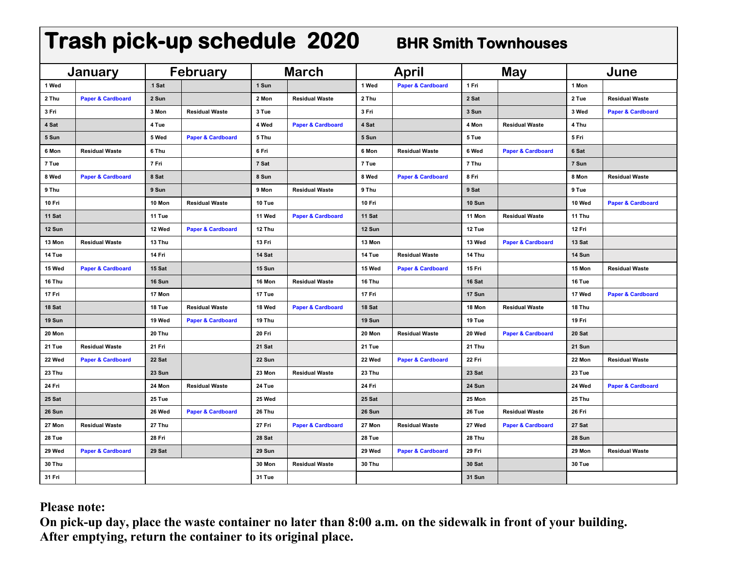| Trash pick-up schedule 2020<br><b>BHR Smith Townhouses</b> |                              |                 |                              |              |                              |        |                              |        |                              |        |                              |
|------------------------------------------------------------|------------------------------|-----------------|------------------------------|--------------|------------------------------|--------|------------------------------|--------|------------------------------|--------|------------------------------|
| January                                                    |                              | <b>February</b> |                              | <b>March</b> |                              | April  |                              | May    |                              | June   |                              |
| 1 Wed                                                      |                              | .1 Sat          |                              | 1 Sun        |                              | 1 Wed  | <b>Paper &amp; Cardboard</b> | 1 Fri  |                              | 1 Mon  |                              |
| 2 Thu                                                      | <b>Paper &amp; Cardboard</b> | 2 Sun           |                              | 2 Mon        | <b>Residual Waste</b>        | 2 Thu  |                              | 2 Sat  |                              | 2 Tue  | <b>Residual Waste</b>        |
| 3 Fri                                                      |                              | 3 Mon           | <b>Residual Waste</b>        | 3 Tue        |                              | 3 Fri  |                              | 3 Sun  |                              | 3 Wed  | <b>Paper &amp; Cardboard</b> |
| 4 Sat                                                      |                              | 4 Tue           |                              | 4 Wed        | <b>Paper &amp; Cardboard</b> | 4 Sat  |                              | 4 Mon  | <b>Residual Waste</b>        | 4 Thu  |                              |
| 5 Sun                                                      |                              | 5 Wed           | <b>Paper &amp; Cardboard</b> | 5 Thu        |                              | 5 Sun  |                              | 5 Tue  |                              | 5 Fri  |                              |
| 6 Mon                                                      | <b>Residual Waste</b>        | 6 Thu           |                              | 6 Fri        |                              | 6 Mon  | <b>Residual Waste</b>        | 6 Wed  | <b>Paper &amp; Cardboard</b> | 6 Sat  |                              |
| 7 Tue                                                      |                              | 7 Fri           |                              | 7 Sat        |                              | 7 Tue  |                              | 7 Thu  |                              | 7 Sun  |                              |
| 8 Wed                                                      | <b>Paper &amp; Cardboard</b> | 8 Sat           |                              | 8 Sun        |                              | 8 Wed  | <b>Paper &amp; Cardboard</b> | 8 Fri  |                              | 8 Mon  | <b>Residual Waste</b>        |
| 9 Thu                                                      |                              | 9 Sun           |                              | 9 Mon        | <b>Residual Waste</b>        | 9 Thu  |                              | 9 Sat  |                              | 9 Tue  |                              |
| 10 Fri                                                     |                              | 10 Mon          | <b>Residual Waste</b>        | 10 Tue       |                              | 10 Fri |                              | 10 Sun |                              | 10 Wed | <b>Paper &amp; Cardboard</b> |
| 11 Sat                                                     |                              | 11 Tue          |                              | 11 Wed       | <b>Paper &amp; Cardboard</b> | 11 Sat |                              | 11 Mon | <b>Residual Waste</b>        | 11 Thu |                              |
| 12 Sun                                                     |                              | 12 Wed          | <b>Paper &amp; Cardboard</b> | 12 Thu       |                              | 12 Sun |                              | 12 Tue |                              | 12 Fri |                              |
| 13 Mon                                                     | <b>Residual Waste</b>        | 13 Thu          |                              | 13 Fri       |                              | 13 Mon |                              | 13 Wed | <b>Paper &amp; Cardboard</b> | 13 Sat |                              |
| 14 Tue                                                     |                              | 14 Fri          |                              | 14 Sat       |                              | 14 Tue | <b>Residual Waste</b>        | 14 Thu |                              | 14 Sun |                              |
| 15 Wed                                                     | <b>Paper &amp; Cardboard</b> | 15 Sat          |                              | 15 Sun       |                              | 15 Wed | <b>Paper &amp; Cardboard</b> | 15 Fri |                              | 15 Mon | <b>Residual Waste</b>        |
| 16 Thu                                                     |                              | 16 Sun          |                              | 16 Mon       | <b>Residual Waste</b>        | 16 Thu |                              | 16 Sat |                              | 16 Tue |                              |
| 17 Fri                                                     |                              | 17 Mon          |                              | 17 Tue       |                              | 17 Fri |                              | 17 Sun |                              | 17 Wed | <b>Paper &amp; Cardboard</b> |
| 18 Sat                                                     |                              | 18 Tue          | <b>Residual Waste</b>        | 18 Wed       | <b>Paper &amp; Cardboard</b> | 18 Sat |                              | 18 Mon | <b>Residual Waste</b>        | 18 Thu |                              |
| 19 Sun                                                     |                              | 19 Wed          | <b>Paper &amp; Cardboard</b> | 19 Thu       |                              | 19 Sun |                              | 19 Tue |                              | 19 Fri |                              |
| 20 Mon                                                     |                              | 20 Thu          |                              | 20 Fri       |                              | 20 Mon | <b>Residual Waste</b>        | 20 Wed | <b>Paper &amp; Cardboard</b> | 20 Sat |                              |
| 21 Tue                                                     | <b>Residual Waste</b>        | 21 Fri          |                              | 21 Sat       |                              | 21 Tue |                              | 21 Thu |                              | 21 Sun |                              |
| 22 Wed                                                     | <b>Paper &amp; Cardboard</b> | 22 Sat          |                              | 22 Sun       |                              | 22 Wed | <b>Paper &amp; Cardboard</b> | 22 Fri |                              | 22 Mon | <b>Residual Waste</b>        |
| 23 Thu                                                     |                              | 23 Sun          |                              | 23 Mon       | <b>Residual Waste</b>        | 23 Thu |                              | 23 Sat |                              | 23 Tue |                              |
| 24 Fri                                                     |                              | 24 Mon          | <b>Residual Waste</b>        | 24 Tue       |                              | 24 Fri |                              | 24 Sun |                              | 24 Wed | <b>Paper &amp; Cardboard</b> |
| 25 Sat                                                     |                              | 25 Tue          |                              | 25 Wed       |                              | 25 Sat |                              | 25 Mon |                              | 25 Thu |                              |
| 26 Sun                                                     |                              | 26 Wed          | <b>Paper &amp; Cardboard</b> | 26 Thu       |                              | 26 Sun |                              | 26 Tue | <b>Residual Waste</b>        | 26 Fri |                              |
| 27 Mon                                                     | <b>Residual Waste</b>        | 27 Thu          |                              | 27 Fri       | <b>Paper &amp; Cardboard</b> | 27 Mon | <b>Residual Waste</b>        | 27 Wed | <b>Paper &amp; Cardboard</b> | 27 Sat |                              |
| 28 Tue                                                     |                              | 28 Fri          |                              | 28 Sat       |                              | 28 Tue |                              | 28 Thu |                              | 28 Sun |                              |
| 29 Wed                                                     | <b>Paper &amp; Cardboard</b> | 29 Sat          |                              | 29 Sun       |                              | 29 Wed | <b>Paper &amp; Cardboard</b> | 29 Fri |                              | 29 Mon | <b>Residual Waste</b>        |
| 30 Thu                                                     |                              |                 |                              | 30 Mon       | <b>Residual Waste</b>        | 30 Thu |                              | 30 Sat |                              | 30 Tue |                              |
| 31 Fri                                                     |                              |                 |                              | 31 Tue       |                              |        |                              | 31 Sun |                              |        |                              |

# **Please note:**

**On pick-up day, place the waste container no later than 8:00 a.m. on the sidewalk in front of your building. After emptying, return the container to its original place.**